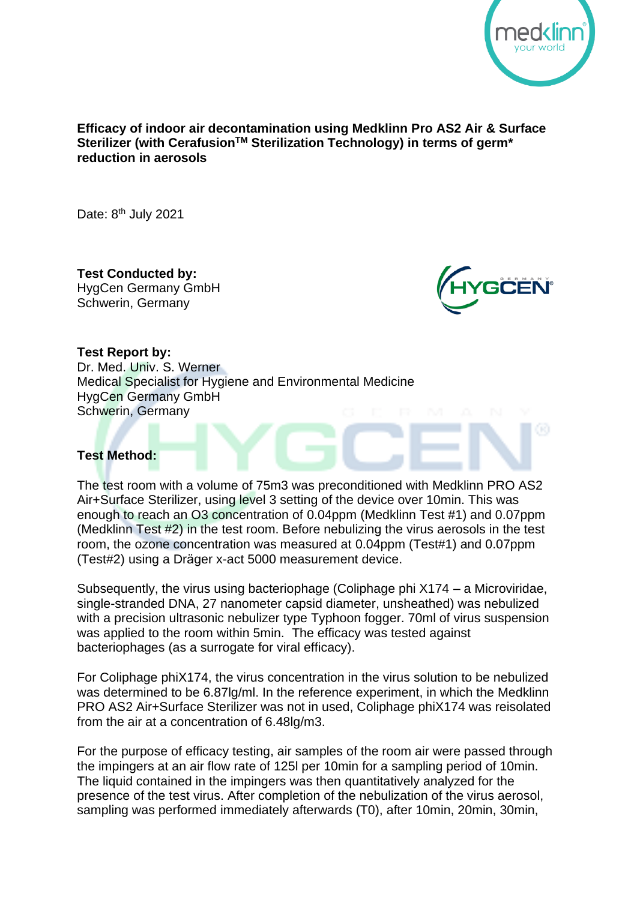

## **Efficacy of indoor air decontamination using Medklinn Pro AS2 Air & Surface Sterilizer (with CerafusionTM Sterilization Technology) in terms of germ\* reduction in aerosols**

Date: 8<sup>th</sup> July 2021

**Test Conducted by:** HygCen Germany GmbH Schwerin, Germany



60

## **Test Report by:**

Dr. Med. Univ. S. Werner Medical Specialist for Hygiene and Environmental Medicine HygCen Germany GmbH Schwerin, Germany

# **Test Method:**

The test room with a volume of 75m3 was preconditioned with Medklinn PRO AS2 Air+Surface Sterilizer, using level 3 setting of the device over 10min. This was enough to reach an O3 concentration of 0.04ppm (Medklinn Test #1) and 0.07ppm (Medklinn Test #2) in the test room. Before nebulizing the virus aerosols in the test room, the ozone concentration was measured at 0.04ppm (Test#1) and 0.07ppm (Test#2) using a Dräger x-act 5000 measurement device.

Subsequently, the virus using bacteriophage (Coliphage phi X174 – a Microviridae, single-stranded DNA, 27 nanometer capsid diameter, unsheathed) was nebulized with a precision ultrasonic nebulizer type Typhoon fogger. 70ml of virus suspension was applied to the room within 5min. The efficacy was tested against bacteriophages (as a surrogate for viral efficacy).

For Coliphage phiX174, the virus concentration in the virus solution to be nebulized was determined to be 6.87lg/ml. In the reference experiment, in which the Medklinn PRO AS2 Air+Surface Sterilizer was not in used, Coliphage phiX174 was reisolated from the air at a concentration of 6.48lg/m3.

For the purpose of efficacy testing, air samples of the room air were passed through the impingers at an air flow rate of 125l per 10min for a sampling period of 10min. The liquid contained in the impingers was then quantitatively analyzed for the presence of the test virus. After completion of the nebulization of the virus aerosol, sampling was performed immediately afterwards (T0), after 10min, 20min, 30min,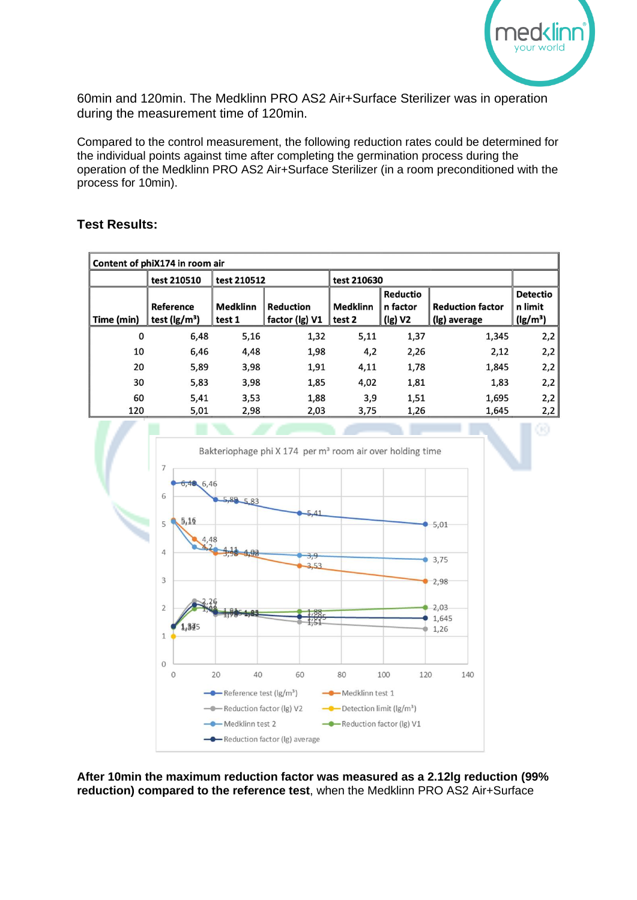

60min and 120min. The Medklinn PRO AS2 Air+Surface Sterilizer was in operation during the measurement time of 120min.

Compared to the control measurement, the following reduction rates could be determined for the individual points against time after completing the germination process during the operation of the Medklinn PRO AS2 Air+Surface Sterilizer (in a room preconditioned with the process for 10min).

# **Test Results:**

| Content of phiX174 in room air |                    |                 |                  |                 |                 |                         |                 |
|--------------------------------|--------------------|-----------------|------------------|-----------------|-----------------|-------------------------|-----------------|
|                                | test 210510        | test 210512     |                  | test 210630     |                 |                         |                 |
|                                |                    |                 |                  |                 | <b>Reductio</b> |                         | <b>Detectio</b> |
|                                | Reference          | <b>Medklinn</b> | <b>Reduction</b> | <b>Medklinn</b> | n factor        | <b>Reduction factor</b> | n limit         |
| Time (min)                     | test ( $\lg/m^3$ ) | test 1          | factor (Ig) V1   | test 2          | (lg) V2         | (Ig) average            | $(lg/m^3)$      |
| 0                              | 6,48               | 5,16            | 1,32             | 5,11            | 1,37            | 1,345                   | 2,2             |
| 10                             | 6,46               | 4,48            | 1,98             | 4,2             | 2,26            | 2,12                    | 2,2             |
| 20                             | 5,89               | 3,98            | 1,91             | 4,11            | 1,78            | 1,845                   | 2,2             |
| 30                             | 5,83               | 3,98            | 1,85             | 4,02            | 1,81            | 1,83                    | 2,2             |
| 60                             | 5,41               | 3,53            | 1,88             | 3,9             | 1,51            | 1,695                   | 2,2             |
| 120                            | 5,01               | 2,98            | 2,03             | 3,75            | 1,26            | 1,645                   | 2,2             |



**After 10min the maximum reduction factor was measured as a 2.12lg reduction (99% reduction) compared to the reference test**, when the Medklinn PRO AS2 Air+Surface